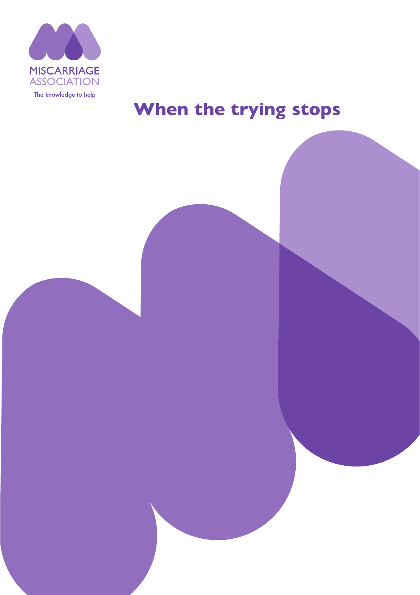

# **When the trying stops**

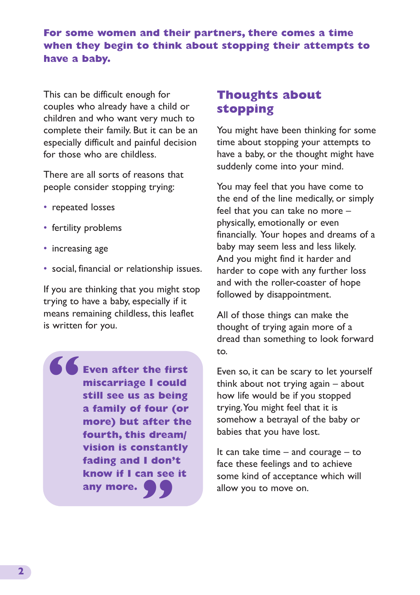### **For some women and their partners, there comes a time when they begin to think about stopping their attempts to have a baby.**

This can be difficult enough for couples who already have a child or children and who want very much to complete their family. But it can be an especially difficult and painful decision for those who are childless.

There are all sorts of reasons that people consider stopping trying:

- repeated losses
- fertility problems
- increasing age
- social, financial or relationship issues.

If you are thinking that you might stop trying to have a baby, especially if it means remaining childless, this leaflet is written for you.

**Even after the first miscarriage I could still see us as being a family of four (or more) but after the fourth, this dream/ vision is constantly fading and I don't know if I can see it** any more. **any more. "**

# **Thoughts about stopping**

You might have been thinking for some time about stopping your attempts to have a baby, or the thought might have suddenly come into your mind.

You may feel that you have come to the end of the line medically, or simply feel that you can take no more – physically, emotionally or even financially. Your hopes and dreams of a baby may seem less and less likely. And you might find it harder and harder to cope with any further loss and with the roller-coaster of hope followed by disappointment.

All of those things can make the thought of trying again more of a dread than something to look forward to.

Even so, it can be scary to let yourself think about not trying again – about how life would be if you stopped trying. You might feel that it is somehow a betrayal of the baby or babies that you have lost.

It can take time  $-$  and courage  $-$  to face these feelings and to achieve some kind of acceptance which will allow you to move on.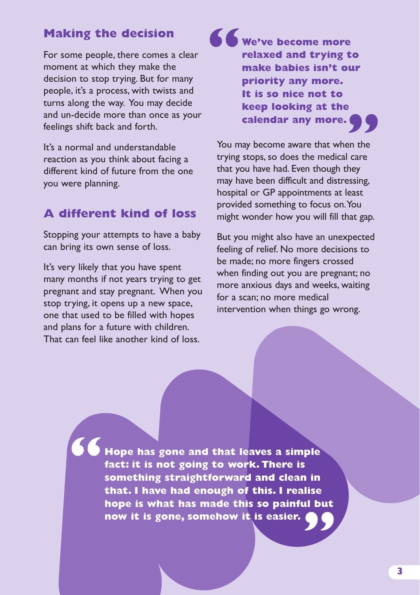## **Making the decision**

For some people, there comes a clear moment at which they make the decision to stop trying. But for many people, it's a process, with twists and turns along the way. You may decide and un-decide more than once as your feelings shift back and forth.

It's a normal and understandable reaction as you think about facing a different kind of future from the one you were planning.

## **A different kind of loss**

Stopping your attempts to have a baby can bring its own sense of loss.

It's very likely that you have spent many months if not years trying to get pregnant and stay pregnant. When you stop trying, it opens up a new space, one that used to be filled with hopes and plans for a future with children. That can feel like another kind of loss.

**We've become more relaxed and trying to make babies isn't our priority any more. It is so nice not to keep looking at the calendar any more. " "**

You may become aware that when the trying stops, so does the medical care that you have had. Even though they may have been difficult and distressing, hospital or GP appointments at least provided something to focus on. You might wonder how you will fill that gap.

But you might also have an unexpected feeling of relief. No more decisions to be made; no more fingers crossed when finding out you are pregnant; no more anxious days and weeks, waiting for a scan; no more medical intervention when things go wrong.

**Hope has gone and that leaves a simple fact: it is not going to work. There is something straightforward and clean in that. I have had enough of this. I realise** hope is what has made this so painful but<br>now it is gone, somehow it is easier. **now it is gone, somehow it is easier. "**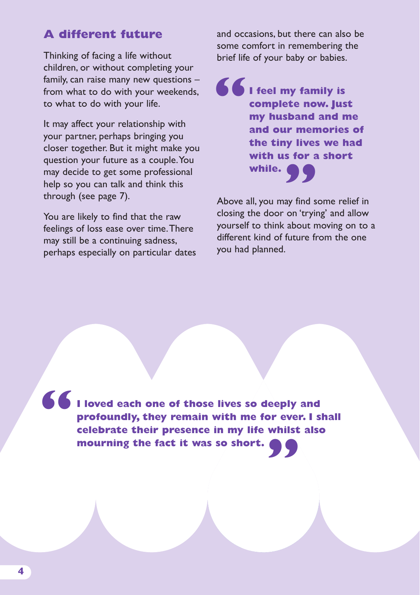# **A different future**

Thinking of facing a life without children, or without completing your family, can raise many new questions – from what to do with your weekends, to what to do with your life.

It may affect your relationship with your partner, perhaps bringing you closer together. But it might make you question your future as a couple. You may decide to get some professional help so you can talk and think this through (see page 7).

You are likely to find that the raw feelings of loss ease over time. There may still be a continuing sadness, perhaps especially on particular dates and occasions, but there can also be some comfort in remembering the brief life of your baby or babies.

**I feel my family is complete now. Just my husband and me and our memories of the tiny lives we had with us for a short while. " "**

Above all, you may find some relief in closing the door on 'trying' and allow yourself to think about moving on to a different kind of future from the one you had planned.

**I loved each one of those lives so deeply and profoundly, they remain with me for ever. I shall celebrate their presence in my life whilst also mourning the fact it was so short. mourning the fact it was so short. "**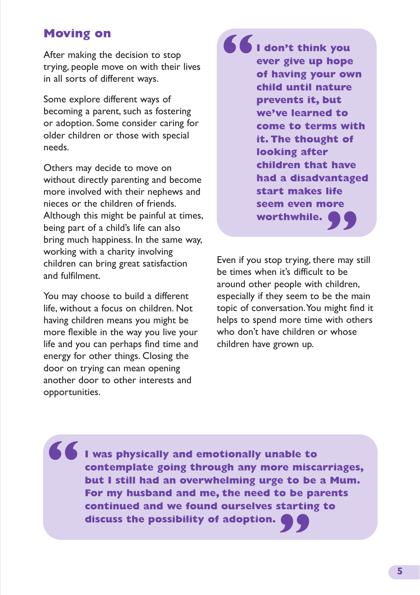# **Moving on**

After making the decision to stop trying, people move on with their lives in all sorts of different ways.

Some explore different ways of becoming a parent, such as fostering or adoption. Some consider caring for older children or those with special needs.

Others may decide to move on without directly parenting and become more involved with their nephews and nieces or the children of friends. Although this might be painful at times, being part of a child's life can also bring much happiness. In the same way, working with a charity involving children can bring great satisfaction and fulfilment.

You may choose to build a different life, without a focus on children. Not having children means you might be more flexible in the way you live your life and you can perhaps find time and energy for other things. Closing the door on trying can mean opening another door to other interests and opportunities.

**I don't think you ever give up hope of having your own child until nature prevents it, but we've learned to come to terms with it. The thought of looking after children that have had a disadvantaged start makes life seem even more worthwhile. " "**

Even if you stop trying, there may still be times when it's difficult to be around other people with children, especially if they seem to be the main topic of conversation. You might find it helps to spend more time with others who don't have children or whose children have grown up.

**I was physically and emotionally unable to contemplate going through any more miscarriages, but I still had an overwhelming urge to be a Mum. For my husband and me, the need to be parents continued and we found ourselves starting to " discuss the possibility of adoption. "**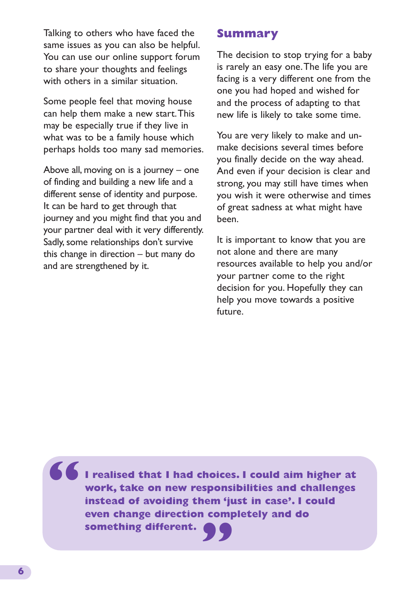Talking to others who have faced the same issues as you can also be helpful. You can use our online support forum to share your thoughts and feelings with others in a similar situation.

Some people feel that moving house can help them make a new start. This may be especially true if they live in what was to be a family house which perhaps holds too many sad memories.

Above all, moving on is a journey – one of finding and building a new life and a different sense of identity and purpose. It can be hard to get through that journey and you might find that you and your partner deal with it very differently. Sadly, some relationships don't survive this change in direction – but many do and are strengthened by it.

## **Summary**

The decision to stop trying for a baby is rarely an easy one. The life you are facing is a very different one from the one you had hoped and wished for and the process of adapting to that new life is likely to take some time.

You are very likely to make and unmake decisions several times before you finally decide on the way ahead. And even if your decision is clear and strong, you may still have times when you wish it were otherwise and times of great sadness at what might have been.

It is important to know that you are not alone and there are many resources available to help you and/or your partner come to the right decision for you. Hopefully they can help you move towards a positive future.

**I realised that I had choices. I could aim higher at work, take on new responsibilities and challenges instead of avoiding them 'just in case'. I could even change direction completely and do something different. "**

**"**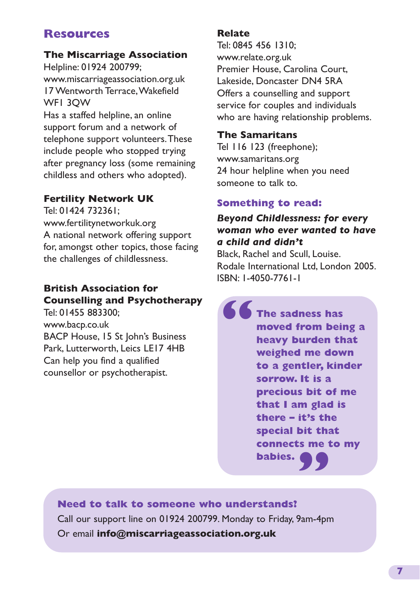# **Resources**

#### **The Miscarriage Association**

Helpline: 01924 200799; www.miscarriageassociation.org.uk 17 Wentworth Terrace, Wakefield WF1 3QW Has a staffed helpline, an online

support forum and a network of telephone support volunteers. These include people who stopped trying after pregnancy loss (some remaining childless and others who adopted).

#### **Fertility Network UK**

Tel: 01424 732361; www.fertilitynetworkuk.org A national network offering support for, amongst other topics, those facing the challenges of childlessness.

## **British Association for Counselling and Psychotherapy**

Tel: 01455 883300; www.bacp.co.uk BACP House, 15 St John's Business Park, Lutterworth, Leics LE17 4HB Can help you find a qualified counsellor or psychotherapist.

#### **Relate**

Tel: 0845 456 1310; www.relate.org.uk Premier House, Carolina Court, Lakeside, Doncaster DN4 5RA Offers a counselling and support service for couples and individuals who are having relationship problems.

#### **The Samaritans**

Tel 116 123 (freephone); www.samaritans.org 24 hour helpline when you need someone to talk to.

#### **Something to read:**

*Beyond Childlessness: for every woman who ever wanted to have a child and didn't*

Black, Rachel and Scull, Louise. Rodale International Ltd, London 2005. ISBN: 1-4050-7761-1

**The sadness has moved from being a heavy burden that weighed me down to a gentler, kinder sorrow. It is a precious bit of me that I am glad is there – it's the special bit that connects me to my babies. " "**

**Need to talk to someone who understands?** Call our support line on 01924 200799. Monday to Friday, 9am-4pm Or email **info@miscarriageassociation.org.uk**